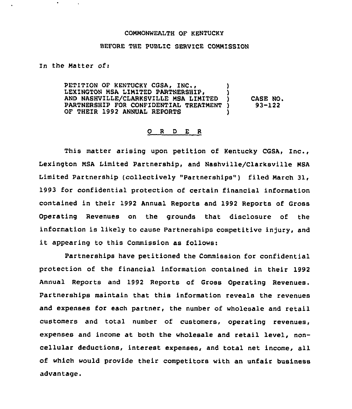## COMMONWEALTH OF KENTUCKY

## BEFORE THE PUBLIC SERVICE COMMISSION

In the Matter ofi

PETITION OF KENTUCKY CGSA, INC., LEXINGTON MSA LIMITED PARTNERSHIP, AND NASHVILLE/CLARKSVILLE MSA LIMITED ) PARTNERSHIP FOR CONFIDENTIAL TREATMENT ) OF THEIR 1992 ANNUAL REPORTS CASE NO. 93-122

## 0 <sup>R</sup> <sup>D</sup> <sup>E</sup> <sup>R</sup>

This matter arising upon petition of Kentucky CGSA, Inc., Lexington MSA Limited Partnership, and Nashville/Clarksville MSA Limited Partnership (collectively "Partnerships") filed March 31, 1993 for confidential protection of certain financial information contained in their 1992 Annual Reports and 1992 Reports of Gross Operating Revenues on the grounds that disclosure of the information is likely to cause Partnerships competitive injury, and it appearing to this Commission as follows:

Partnerships have petitioned the Commission for confidential protection of the financial information contained in their 1992 Annual Reports and 1992 Reports of Gross Operating Revenues. Partnerships maintain that this information reveals the revenues and expenses for each partner, the number of wholesale and retail customers and total number of customers, operating revenues, expenses and income at both the wholesale and retail level, noncellular deductions, interest expenses, and total net income, all of which would provide their competitors with an unfair business advantage.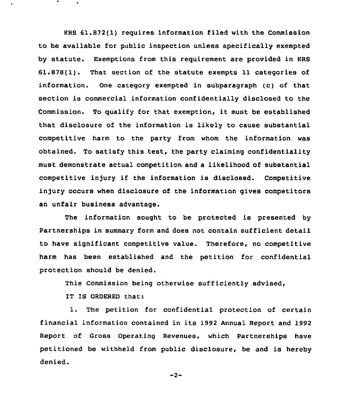KRS 61.872(1) requires information filed with the Commission to be available for public inspection unless specifically exempted by statute. Exemptions from this requirement are provided in KRS 61.878(1). That section of the statute exempts 11 categories of information. One category exempted in subparagraph (c) of that section is commercial information confidentially disclosed to the Commission. To qualify for that exemption, it must be established that disclosure of the information is likely to cause substantial competitive harm to the party from whom the information was obtained. To satisfy this test, the party claiming confidentiality must demonstrate actual competition and a likelihood of substantial competitive injury if the information is disclosed. Competitive injury occurs when disclosure of the information gives competitors an unfair business advantage.

The information sought to be protected is presented by Partnerships in summary form and does not contain sufficient detail to have significant competitive value. Therefore, no competitive harm has been established and the petition for confidential protection should be denied.

This Commission being otherwise sufficiently advised,

IT IS ORDERED that:

1. The petition for confidential protection of certain financial information contained in its 1992 Annual Report and 1992 Report of Gross Operating Revenues, which Partnerships have petitioned be withheld from public disclosure, be and is hereby denied.

 $-2-$